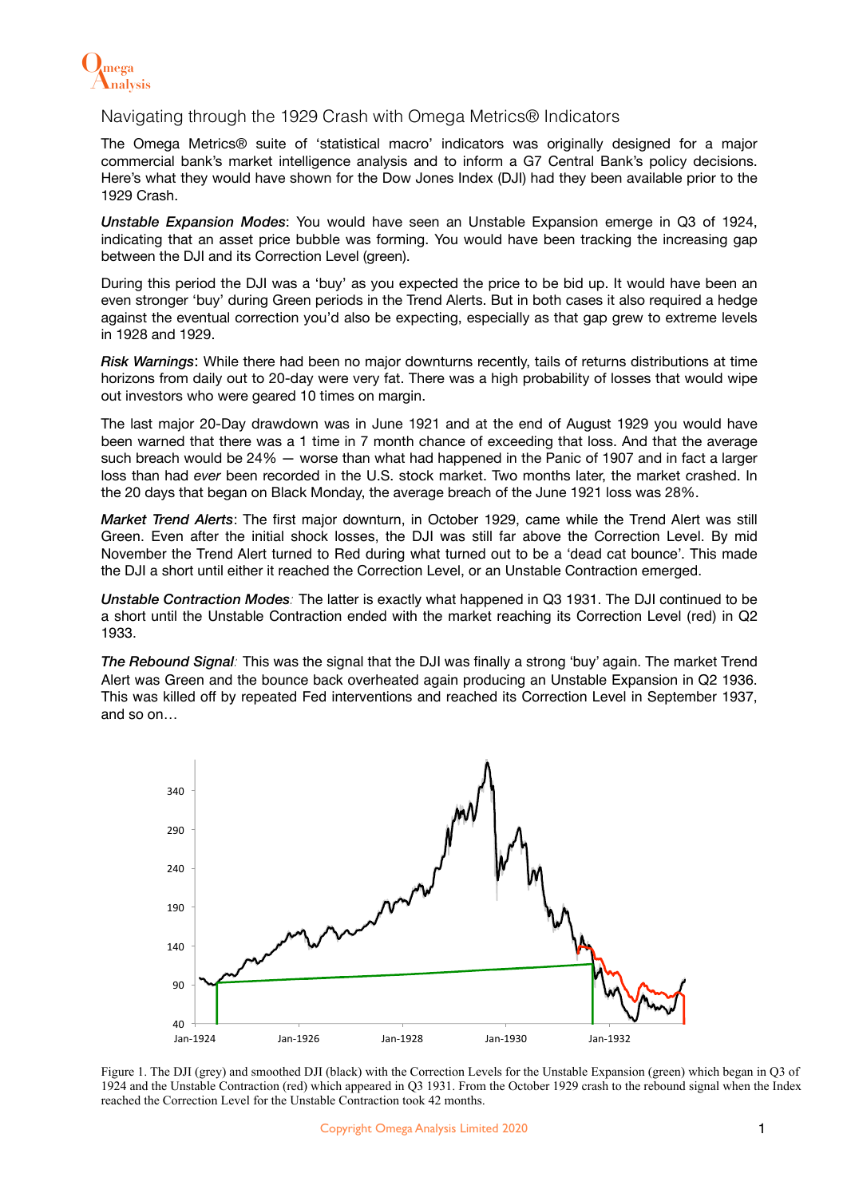

## Navigating through the 1929 Crash with Omega Metrics® Indicators

The Omega Metrics® suite of 'statistical macro' indicators was originally designed for a major commercial bank's market intelligence analysis and to inform a G7 Central Bank's policy decisions. Here's what they would have shown for the Dow Jones Index (DJI) had they been available prior to the 1929 Crash.

*Unstable Expansion Modes*: You would have seen an Unstable Expansion emerge in Q3 of 1924, indicating that an asset price bubble was forming. You would have been tracking the increasing gap between the DJI and its Correction Level (green).

During this period the DJI was a 'buy' as you expected the price to be bid up. It would have been an even stronger 'buy' during Green periods in the Trend Alerts. But in both cases it also required a hedge against the eventual correction you'd also be expecting, especially as that gap grew to extreme levels in 1928 and 1929.

*Risk Warnings*: While there had been no major downturns recently, tails of returns distributions at time horizons from daily out to 20-day were very fat. There was a high probability of losses that would wipe out investors who were geared 10 times on margin.

The last major 20-Day drawdown was in June 1921 and at the end of August 1929 you would have been warned that there was a 1 time in 7 month chance of exceeding that loss. And that the average such breach would be 24% — worse than what had happened in the Panic of 1907 and in fact a larger loss than had *ever* been recorded in the U.S. stock market. Two months later, the market crashed. In the 20 days that began on Black Monday, the average breach of the June 1921 loss was 28%.

*Market Trend Alerts*: The first major downturn, in October 1929, came while the Trend Alert was still Green. Even after the initial shock losses, the DJI was still far above the Correction Level. By mid November the Trend Alert turned to Red during what turned out to be a 'dead cat bounce'. This made the DJI a short until either it reached the Correction Level, or an Unstable Contraction emerged.

*Unstable Contraction Modes:* The latter is exactly what happened in Q3 1931. The DJI continued to be a short until the Unstable Contraction ended with the market reaching its Correction Level (red) in Q2 1933.

*The Rebound Signal:* This was the signal that the DJI was finally a strong 'buy' again. The market Trend Alert was Green and the bounce back overheated again producing an Unstable Expansion in Q2 1936. This was killed off by repeated Fed interventions and reached its Correction Level in September 1937, and so on…



Figure 1. The DJI (grey) and smoothed DJI (black) with the Correction Levels for the Unstable Expansion (green) which began in Q3 of 1924 and the Unstable Contraction (red) which appeared in Q3 1931. From the October 1929 crash to the rebound signal when the Index reached the Correction Level for the Unstable Contraction took 42 months.